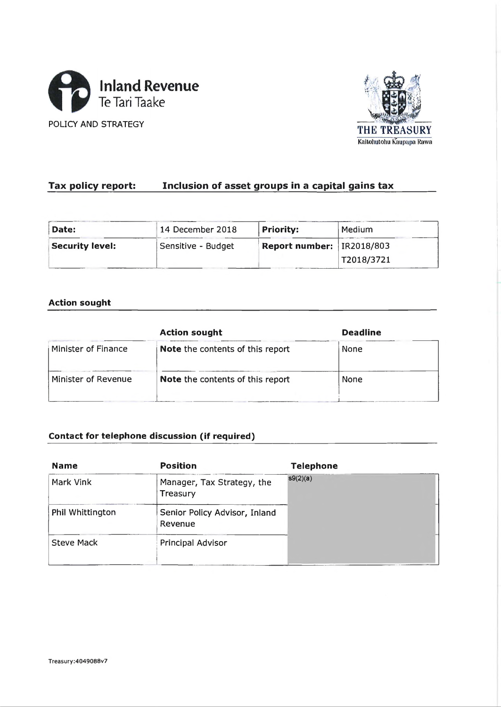



# **Tax policy report:\_\_\_\_\_ Inclusion of asset groups in a capital gains tax**

| Date:                  | 14 December 2018   | Priority:                   | Medium     |
|------------------------|--------------------|-----------------------------|------------|
| <b>Security level:</b> | Sensitive - Budget | Report number:   IR2018/803 |            |
|                        |                    |                             | T2018/3721 |

## **Action sought**

|                     | <b>Action sought</b>                    | <b>Deadline</b> |  |  |
|---------------------|-----------------------------------------|-----------------|--|--|
| Minister of Finance | <b>Note</b> the contents of this report | None            |  |  |
| Minister of Revenue | <b>Note the contents of this report</b> | <b>None</b>     |  |  |
|                     |                                         |                 |  |  |

## **Contact for telephone discussion (if required)**

| <b>Name</b>       | <b>Position</b>                          | <b>Telephone</b> |  |  |  |
|-------------------|------------------------------------------|------------------|--|--|--|
| Mark Vink         | Manager, Tax Strategy, the<br>Treasury   | s9(2)(a)         |  |  |  |
| Phil Whittington  | Senior Policy Advisor, Inland<br>Revenue |                  |  |  |  |
| <b>Steve Mack</b> | Principal Advisor                        |                  |  |  |  |
|                   |                                          |                  |  |  |  |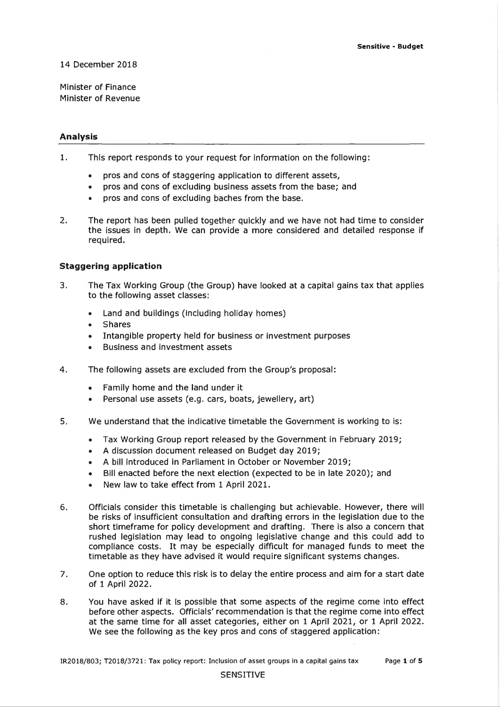#### **14 December 2018**

**Minister of Finance Minister of Revenue**

#### **A nalysis**

- **1. This report responds to your request for information on the following:**
	- **pros and cons of staggering application to different assets,**
	- **pros and cons of excluding business assets from the base; and**
	- **pros and cons of excluding baches from the base.**
- **2. The report has been pulled together quickly and we have not had time to consider the issues in depth. We can provide a more considered and detailed response if required.**

#### **Staggering application**

- **3. The Tax Working Group (the Group) have looked at a capital gains tax that applies to the following asset classes:**
	- **Land and buildings (including holiday homes)**
	- **Shares**
	- **Intangible property held for business or investment purposes**
	- **Business and investment assets**
- **4. The following assets are excluded from the Group's proposal:**
	- **Family home and the land under it**
	- **Personal use assets (e.g. cars, boats, jewellery, art)**
- **5. We understand that the indicative timetable the Government is working to is:**
	- **Tax Working Group report released by the Government in February 2019;**
	- **A discussion document released on Budget day 2019;**
	- **A bill introduced in Parliament in October or November 2019;**
	- **Bill enacted before the next election (expected to be in late 2020); and**
	- **New law to take effect from 1 April 2021.**
- **6. Officials consider this timetable is challenging but achievable. However, there will be risks of insufficient consultation and drafting errors in the legislation due to the short timeframe for policy development and drafting. There is also a concern that rushed legislation may lead to ongoing legislative change and this could add to compliance costs. It may be especially difficult for managed funds to meet the** timetable as they have advised it would require significant systems changes.
- **7. One option to reduce this risk is to delay the entire process and aim for a start date of 1 April 2022.**
- 8. You have asked if it is possible that some aspects of the regime come into effect **before other aspects. Officials' recommendation is that the regime come into effect at the same time for all asset categories, either on 1 April 2021, or 1 April 2022. We see the following as the key pros and cons of staggered application:**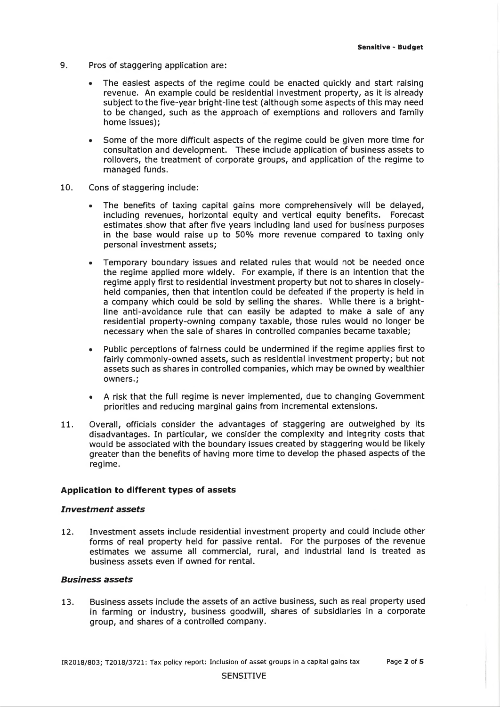- **9. Pros of staggering application are:**
	- **The easiest aspects of the regime could be enacted quickly and start raising revenue. An example could be residential investment property, as it is already** subject to the five-year bright-line test (although some aspects of this may need **to be changed, such as the approach of exemptions and rollovers and family home issues);**
	- Some of the more difficult aspects of the regime could be given more time for **consultation and development. These include application of business assets to rollovers, the treatment of corporate groups, and application of the regime to managed funds.**
- **10. Cons of staggering include:**
	- **The benefits of taxing capital gains more comprehensively will be delayed, including revenues, horizontal equity and vertical equity benefits. Forecast estim ates show that after five years including land used for business purposes in the base would raise up to 50% more revenue compared to taxing only personal investment assets;**
	- **Temporary boundary issues and related rules that would not be needed once the regime applied more widely. For example, if there is an intention that the regime apply first to residential investment property but not to shares in closelyheld companies, then that intention could be defeated if the property is held in a company which could be sold by selling the shares. While there is a brightline anti-avoidance rule that can easily be adapted to make a sale of any residential property-owning company taxable, those rules would no longer be necessary when the sale of shares in controlled companies became taxable;**
	- **Public perceptions of fairness could be undermined if the regime applies first to fairly commonly-owned assets, such as residential investment property; but not assets such as shares in controlled companies, which may be owned by wealthier owners.;**
	- **A risk that the full regime is never implemented, due to changing Government priorities and reducing marginal gains from incremental extensions.**
- **11. Overall, officials consider the advantages of staggering are outweighed by its disadvantages. In particular, we consider the complexity and integrity costs that would be associated with the boundary issues created by staggering would be likely greater than the benefits of having more time to develop the phased aspects of the regime.**

#### **Application to different types of assets**

#### *In vestm en t a sse ts*

12. Investment assets include residential investment property and could include other **forms of real property held for passive rental. For the purposes of the revenue** estimates we assume all commercial, rural, and industrial land is treated as **business assets even if owned for rental.**

#### *Business a sse ts*

**13. Business assets include the assets of an active business, such as real property used in farming or industry, business goodwill, shares of subsidiaries in a corporate group, and shares of a controlled company.**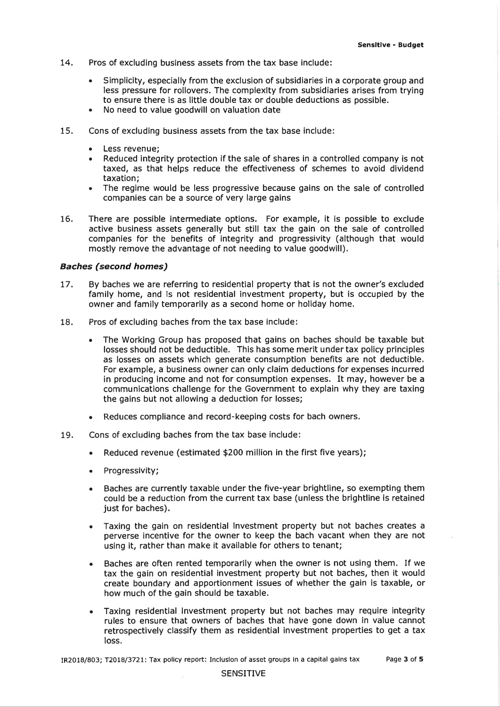- 14. **Pros of excluding business assets from the tax base include:**
	- **Simplicity, especially from the exclusion of subsidiaries in a corporate group and less pressure for rollovers. The complexity from subsidiaries arises from trying to ensure there is as little double tax or double deductions as possible.**
	- **No need to value goodwill on valuation date**
- 15. **Cons of excluding business assets from the tax base include:**
	- **Less revenue;**
	- **Reduced integrity protection if the sale of shares in a controlled company is not** taxed, as that helps reduce the effectiveness of schemes to avoid dividend **taxation;**
	- **The regime would be less progressive because gains on the sale of controlled companies can be a source of very large gains**
- **16. There are possible intermediate options. For example, it is possible to exclude active business assets generally but still tax the gain on the sale of controlled** companies for the benefits of integrity and progressivity (although that would **mostly remove the advantage of not needing to value goodwill).**

#### **Baches (second homes)**

- 17. **By baches we are referring to residential property that is not the owner's excluded family home, and is not residential investment property, but is occupied by the owner and family temporarily as a second home or holiday home.**
- 18. **Pros of excluding baches from the tax base include:**
	- **The Working Group has proposed that gains on baches should be taxable but** losses should not be deductible. This has some merit under tax policy principles **as losses on assets which generate consumption benefits are not deductible. For example, a business owner can only claim deductions for expenses incurred in producing income and not for consumption expenses. It may, however be a communications challenge for the Government to explain why they are taxing the gains but not allowing a deduction for losses;**
	- **Reduces compliance and record-keeping costs for bach owners.**
- 19. **Cons of excluding baches from the tax base include:**
	- **Reduced revenue (estimated \$200 million in the first five years);**
	- **Progressivity;**
	- **Baches are currently taxable under the five-year brightline, so exempting them could be a reduction from the current tax base (unless the brightline is retained just for baches).**
	- **Taxing the gain on residential investment property but not baches creates a perverse incentive for the owner to keep the bach vacant when they are not using it, rather than make it available for others to tenant;**
	- **Baches are often rented temporarily when the owner is not using them. If we tax the gain on residential investment property but not baches, then it would create boundary and apportionment issues of whether the gain is taxable, or how much of the gain should be taxable.**
	- **Taxing residential investment property but not baches may require integrity rules to ensure that owners of baches that have gone down in value cannot retrospectively classify them as residential investment properties to get a tax loss.**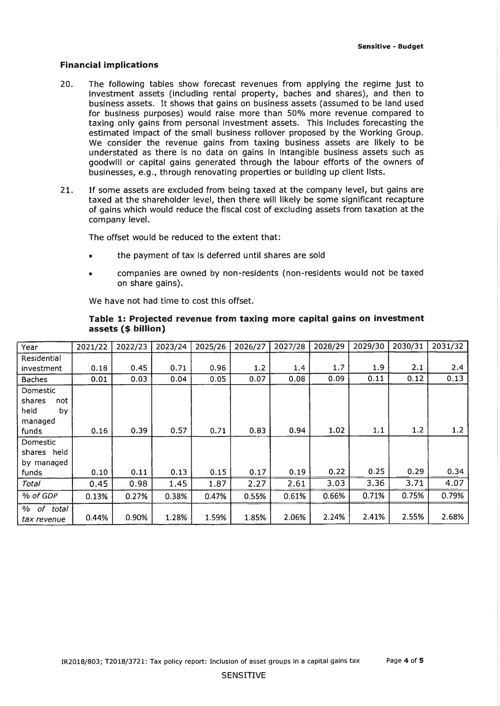#### **Financial im plications**

- **20. The following tables show forecast revenues from applying the regime just to** investment assets (including rental property, baches and shares), and then to **business assets. It shows that gains on business assets (assumed to be land used for business purposes) would raise more than 50% more revenue compared to taxing only gains from personal investment assets. This includes forecasting the estimated impact of the small business rollover proposed by the Working Group. We consider the revenue gains from taxing business assets are likely to be understated as there is no data on gains In intangible business assets such as goodwill or capital gains generated through the labour efforts of the owners of businesses, e.g ., through renovating properties or building up client lists.**
- 21. If some assets are excluded from being taxed at the company level, but gains are taxed at the shareholder level, then there will likely be some significant recapture **of gains which would reduce the fiscal cost of excluding assets from taxation at the company level.**

**The offset would be reduced to the extent that:**

- **the payment of tax is deferred until shares are sold**
- **companies are owned by non-residents (non-residents would not be taxed on share gains).**

**We have not had time to cost this offset.**

| Year                                                        | 2021/22 | 2022/23 | 2023/24 | 2025/26 | 2026/27 | 2027/28 | 2028/29 | 2029/30 | 2030/31 | 2031/32 |
|-------------------------------------------------------------|---------|---------|---------|---------|---------|---------|---------|---------|---------|---------|
| Residential                                                 |         |         |         |         |         |         |         |         |         |         |
| investment                                                  | 0.18    | 0.45    | 0.71    | 0.96    | 1.2     | 1.4     | 1.7     | 1.9     | 2.1     | 2.4     |
| <b>Baches</b>                                               | 0.01    | 0.03    | 0.04    | 0.05    | 0.07    | 0.08    | 0.09    | 0.11    | 0.12    | 0.13    |
| Domestic<br>shares<br>not<br>held<br>by<br>managed<br>funds | 0.16    | 0.39    | 0.57    | 0.71    | 0.83    | 0.94    | 1.02    | 1.1     | 1.2     | 1.2     |
| Domestic<br>shares held<br>by managed                       |         |         |         |         |         |         |         |         |         |         |
| funds                                                       | 0.10    | 0.11    | 0.13    | 0.15    | 0.17    | 0.19    | 0.22    | 0.25    | 0.29    | 0.34    |
| Total                                                       | 0.45    | 0.98    | 1.45    | 1.87    | 2.27    | 2.61    | 3.03    | 3.36    | 3.71    | 4.07    |
| % of GDP                                                    | 0.13%   | 0.27%   | 0.38%   | 0.47%   | 0.55%   | 0.61%   | 0.66%   | 0.71%   | 0.75%   | 0.79%   |
| % of total<br>tax revenue                                   | 0.44%   | 0.90%   | 1.28%   | 1.59%   | 1.85%   | 2.06%   | 2.24%   | 2.41%   | 2.55%   | 2.68%   |

## Table 1: Projected revenue from taxing more capital gains on investment **a s s e ts (\$ billion)**